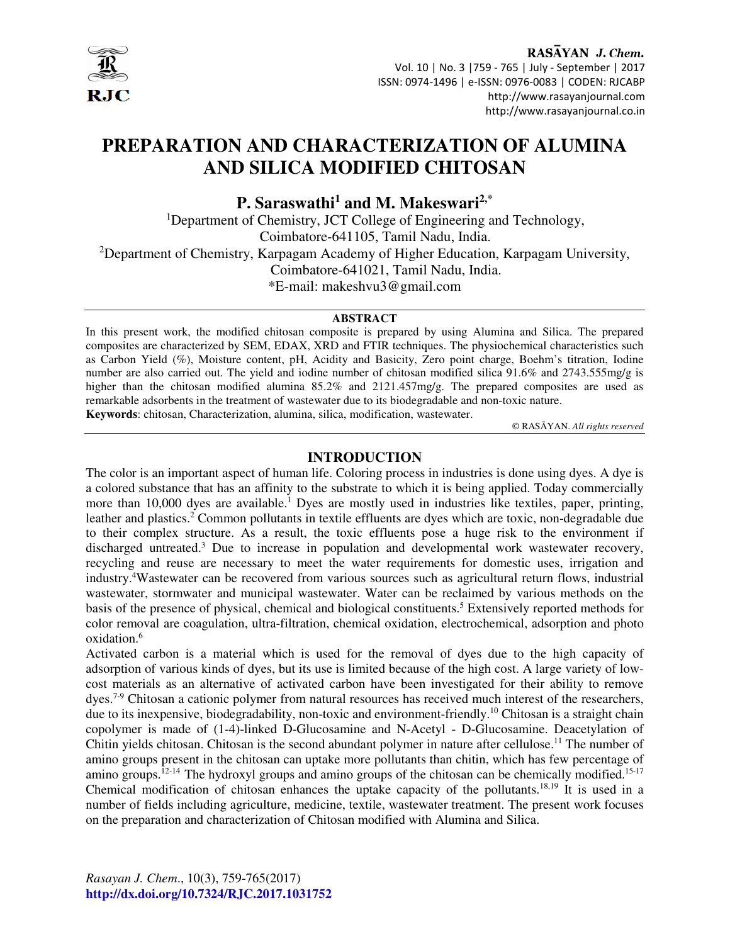

# RASAYAN J. Chem. Vol. 10 | No. 3 |759 - 765 | July - September | 2017 ISSN: 0974-1496 | e-ISSN: 0976-0083 | CODEN: RJCABP http://www.rasayanjournal.com http://www.rasayanjournal.co.in

# **PREPARATION AND CHARACTERIZATION OF ALUMINA AND SILICA MODIFIED CHITOSAN**

# **P. Saraswathi<sup>1</sup> and M. Makeswari2,\***

<sup>1</sup>Department of Chemistry, JCT College of Engineering and Technology, Coimbatore-641105, Tamil Nadu, India. <sup>2</sup>Department of Chemistry, Karpagam Academy of Higher Education, Karpagam University, Coimbatore-641021, Tamil Nadu, India. \*E-mail: makeshvu3@gmail.com

#### **ABSTRACT**

In this present work, the modified chitosan composite is prepared by using Alumina and Silica. The prepared composites are characterized by SEM, EDAX, XRD and FTIR techniques. The physiochemical characteristics such as Carbon Yield (%), Moisture content, pH, Acidity and Basicity, Zero point charge, Boehm's titration, Iodine number are also carried out. The yield and iodine number of chitosan modified silica 91.6% and 2743.555mg/g is higher than the chitosan modified alumina 85.2% and 2121.457mg/g. The prepared composites are used as remarkable adsorbents in the treatment of wastewater due to its biodegradable and non-toxic nature.

**Keywords**: chitosan, Characterization, alumina, silica, modification, wastewater.

© RASĀYAN. *All rights reserved*

# **INTRODUCTION**

The color is an important aspect of human life. Coloring process in industries is done using dyes. A dye is a colored substance that has an affinity to the substrate to which it is being applied. Today commercially more than 10,000 dyes are available.<sup>1</sup> Dyes are mostly used in industries like textiles, paper, printing, leather and plastics.<sup>2</sup> Common pollutants in textile effluents are dyes which are toxic, non-degradable due to their complex structure. As a result, the toxic effluents pose a huge risk to the environment if discharged untreated.<sup>3</sup> Due to increase in population and developmental work wastewater recovery, recycling and reuse are necessary to meet the water requirements for domestic uses, irrigation and industry.<sup>4</sup>Wastewater can be recovered from various sources such as agricultural return flows, industrial wastewater, stormwater and municipal wastewater. Water can be reclaimed by various methods on the basis of the presence of physical, chemical and biological constituents.<sup>5</sup> Extensively reported methods for color removal are coagulation, ultra-filtration, chemical oxidation, electrochemical, adsorption and photo oxidation.<sup>6</sup>

Activated carbon is a material which is used for the removal of dyes due to the high capacity of adsorption of various kinds of dyes, but its use is limited because of the high cost. A large variety of lowcost materials as an alternative of activated carbon have been investigated for their ability to remove dyes.<sup>7-9</sup> Chitosan a cationic polymer from natural resources has received much interest of the researchers, due to its inexpensive, biodegradability, non-toxic and environment-friendly.<sup>10</sup> Chitosan is a straight chain copolymer is made of (1-4)-linked D-Glucosamine and N-Acetyl - D-Glucosamine. Deacetylation of Chitin yields chitosan. Chitosan is the second abundant polymer in nature after cellulose.<sup>11</sup> The number of amino groups present in the chitosan can uptake more pollutants than chitin, which has few percentage of amino groups.<sup>12-14</sup> The hydroxyl groups and amino groups of the chitosan can be chemically modified.<sup>15-17</sup> Chemical modification of chitosan enhances the uptake capacity of the pollutants.18,19 It is used in a number of fields including agriculture, medicine, textile, wastewater treatment. The present work focuses on the preparation and characterization of Chitosan modified with Alumina and Silica.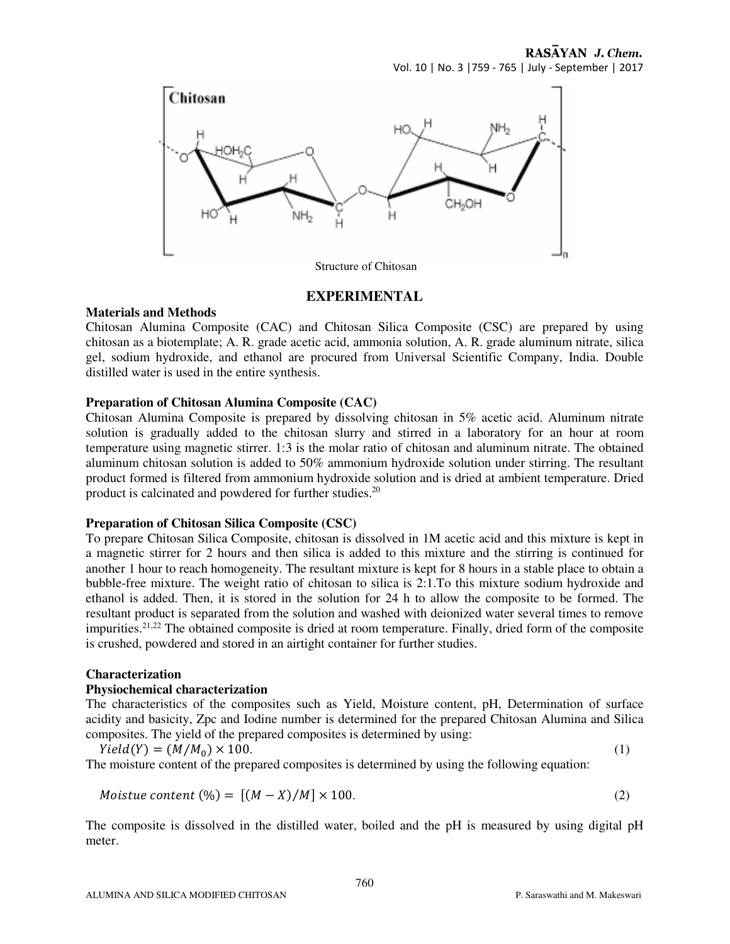RASAYAN J. Chem. Vol. 10 | No. 3 |759 - 765 | July - September | 2017



#### **EXPERIMENTAL**

#### **Materials and Methods**

Chitosan Alumina Composite (CAC) and Chitosan Silica Composite (CSC) are prepared by using chitosan as a biotemplate; A. R. grade acetic acid, ammonia solution, A. R. grade aluminum nitrate, silica gel, sodium hydroxide, and ethanol are procured from Universal Scientific Company, India. Double distilled water is used in the entire synthesis.

#### **Preparation of Chitosan Alumina Composite (CAC)**

Chitosan Alumina Composite is prepared by dissolving chitosan in 5% acetic acid. Aluminum nitrate solution is gradually added to the chitosan slurry and stirred in a laboratory for an hour at room temperature using magnetic stirrer. 1:3 is the molar ratio of chitosan and aluminum nitrate. The obtained aluminum chitosan solution is added to 50% ammonium hydroxide solution under stirring. The resultant product formed is filtered from ammonium hydroxide solution and is dried at ambient temperature. Dried product is calcinated and powdered for further studies.<sup>20</sup>

#### **Preparation of Chitosan Silica Composite (CSC)**

To prepare Chitosan Silica Composite, chitosan is dissolved in 1M acetic acid and this mixture is kept in a magnetic stirrer for 2 hours and then silica is added to this mixture and the stirring is continued for another 1 hour to reach homogeneity. The resultant mixture is kept for 8 hours in a stable place to obtain a bubble-free mixture. The weight ratio of chitosan to silica is 2:1.To this mixture sodium hydroxide and ethanol is added. Then, it is stored in the solution for 24 h to allow the composite to be formed. The resultant product is separated from the solution and washed with deionized water several times to remove impurities.<sup>21,22</sup> The obtained composite is dried at room temperature. Finally, dried form of the composite is crushed, powdered and stored in an airtight container for further studies.

#### **Characterization**

#### **Physiochemical characterization**

The characteristics of the composites such as Yield, Moisture content, pH, Determination of surface acidity and basicity, Zpc and Iodine number is determined for the prepared Chitosan Alumina and Silica composites. The yield of the prepared composites is determined by using:

$$
Yield(Y) = (M/M_0) \times 100.
$$
 (1)

The moisture content of the prepared composites is determined by using the following equation:

$$
Moistue content (%) = [(M - X)/M] \times 100.
$$
 (2)

The composite is dissolved in the distilled water, boiled and the pH is measured by using digital pH meter.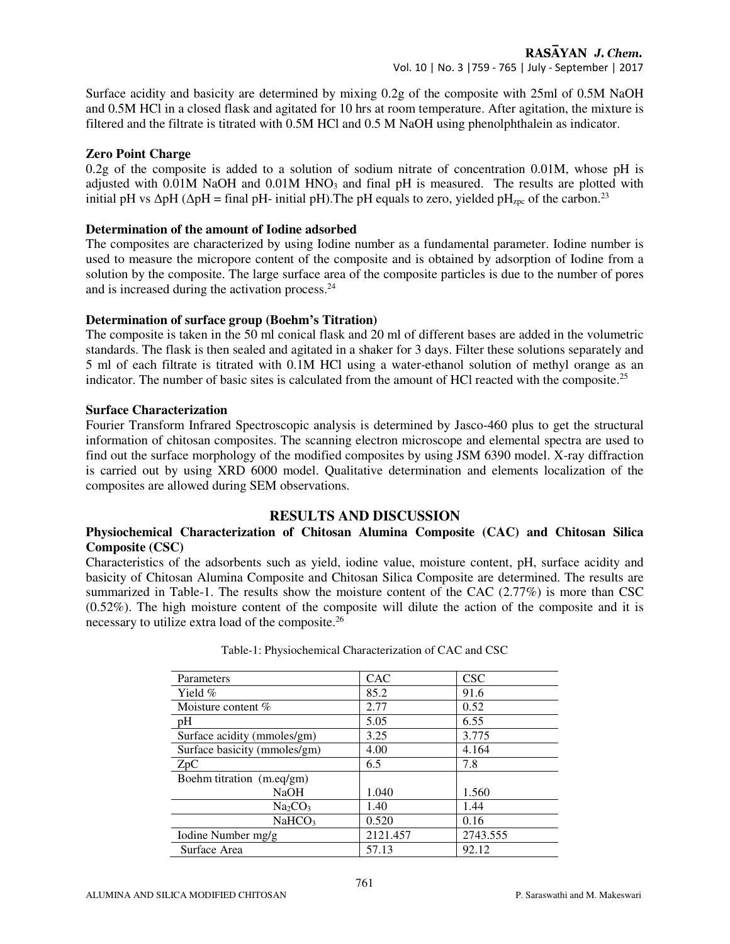Surface acidity and basicity are determined by mixing 0.2g of the composite with 25ml of 0.5M NaOH and 0.5M HCl in a closed flask and agitated for 10 hrs at room temperature. After agitation, the mixture is filtered and the filtrate is titrated with 0.5M HCl and 0.5 M NaOH using phenolphthalein as indicator.

# **Zero Point Charge**

0.2g of the composite is added to a solution of sodium nitrate of concentration 0.01M, whose pH is adjusted with 0.01M NaOH and 0.01M HNO<sub>3</sub> and final pH is measured. The results are plotted with initial pH vs  $\Delta$ pH ( $\Delta$ pH = final pH- initial pH). The pH equals to zero, yielded pH<sub>zpc</sub> of the carbon.<sup>23</sup>

# **Determination of the amount of Iodine adsorbed**

The composites are characterized by using Iodine number as a fundamental parameter. Iodine number is used to measure the micropore content of the composite and is obtained by adsorption of Iodine from a solution by the composite. The large surface area of the composite particles is due to the number of pores and is increased during the activation process.<sup>24</sup>

# **Determination of surface group (Boehm's Titration)**

The composite is taken in the 50 ml conical flask and 20 ml of different bases are added in the volumetric standards. The flask is then sealed and agitated in a shaker for 3 days. Filter these solutions separately and 5 ml of each filtrate is titrated with 0.1M HCl using a water-ethanol solution of methyl orange as an indicator. The number of basic sites is calculated from the amount of HCl reacted with the composite.<sup>25</sup>

# **Surface Characterization**

Fourier Transform Infrared Spectroscopic analysis is determined by Jasco-460 plus to get the structural information of chitosan composites. The scanning electron microscope and elemental spectra are used to find out the surface morphology of the modified composites by using JSM 6390 model. X-ray diffraction is carried out by using XRD 6000 model. Qualitative determination and elements localization of the composites are allowed during SEM observations.

# **RESULTS AND DISCUSSION**

# **Physiochemical Characterization of Chitosan Alumina Composite (CAC) and Chitosan Silica Composite (CSC)**

Characteristics of the adsorbents such as yield, iodine value, moisture content, pH, surface acidity and basicity of Chitosan Alumina Composite and Chitosan Silica Composite are determined. The results are summarized in Table-1. The results show the moisture content of the CAC (2.77%) is more than CSC (0.52%). The high moisture content of the composite will dilute the action of the composite and it is necessary to utilize extra load of the composite.<sup>26</sup>

| Parameters                      | <b>CAC</b> | <b>CSC</b> |
|---------------------------------|------------|------------|
| Yield %                         | 85.2       | 91.6       |
| Moisture content $\%$           | 2.77       | 0.52       |
| pH                              | 5.05       | 6.55       |
| Surface acidity (mmoles/gm)     | 3.25       | 3.775      |
| Surface basicity (mmoles/gm)    | 4.00       | 4.164      |
| ZpC                             | 6.5        | 7.8        |
| Boehm titration (m.eq/gm)       |            |            |
| <b>NaOH</b>                     | 1.040      | 1.560      |
| Na <sub>2</sub> CO <sub>3</sub> | 1.40       | 1.44       |
| NaHCO <sub>3</sub>              | 0.520      | 0.16       |
| Iodine Number mg/g              | 2121.457   | 2743.555   |
| Surface Area                    | 57.13      | 92.12      |

Table-1: Physiochemical Characterization of CAC and CSC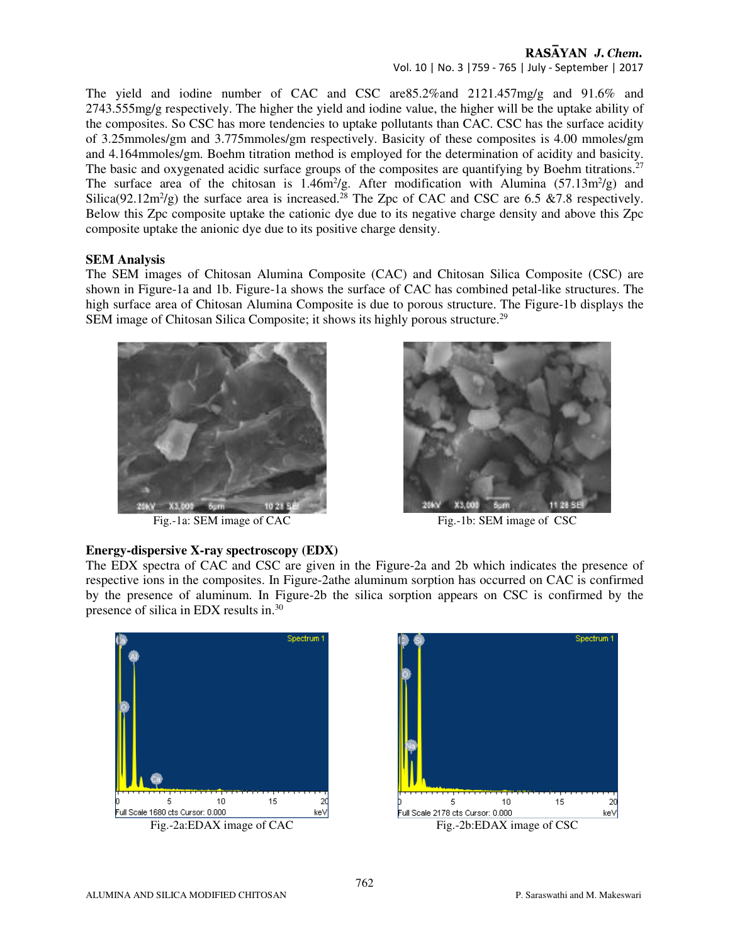# RASAYAN J. Chem.

Vol. 10 | No. 3 |759 - 765 | July - September | 2017

The yield and iodine number of CAC and CSC are85.2%and 2121.457mg/g and 91.6% and 2743.555mg/g respectively. The higher the yield and iodine value, the higher will be the uptake ability of the composites. So CSC has more tendencies to uptake pollutants than CAC. CSC has the surface acidity of 3.25mmoles/gm and 3.775mmoles/gm respectively. Basicity of these composites is 4.00 mmoles/gm and 4.164mmoles/gm. Boehm titration method is employed for the determination of acidity and basicity. The basic and oxygenated acidic surface groups of the composites are quantifying by Boehm titrations.<sup>27</sup> The surface area of the chitosan is  $1.46m^2/g$ . After modification with Alumina (57.13m<sup>2</sup>/g) and Silica(92.12m<sup>2</sup>/g) the surface area is increased.<sup>28</sup> The Zpc of CAC and CSC are 6.5 & 7.8 respectively. Below this Zpc composite uptake the cationic dye due to its negative charge density and above this Zpc composite uptake the anionic dye due to its positive charge density.

# **SEM Analysis**

The SEM images of Chitosan Alumina Composite (CAC) and Chitosan Silica Composite (CSC) are shown in Figure-1a and 1b. Figure-1a shows the surface of CAC has combined petal-like structures. The high surface area of Chitosan Alumina Composite is due to porous structure. The Figure-1b displays the SEM image of Chitosan Silica Composite; it shows its highly porous structure.<sup>29</sup>



Fig.-1a: SEM image of CAC Fig.-1b: SEM image of CSC

**Energy-dispersive X-ray spectroscopy (EDX)** 



# The EDX spectra of CAC and CSC are given in the Figure-2a and 2b which indicates the presence of respective ions in the composites. In Figure-2athe aluminum sorption has occurred on CAC is confirmed by the presence of aluminum. In Figure-2b the silica sorption appears on CSC is confirmed by the presence of silica in EDX results in.<sup>30</sup>



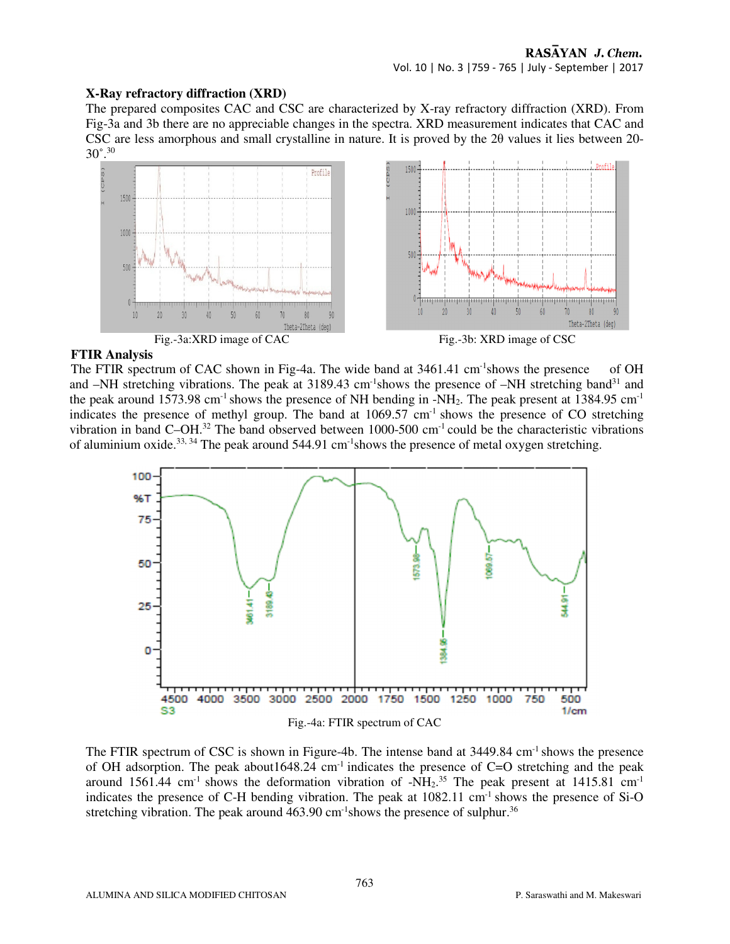# **X-Ray refractory diffraction (XRD)**

The prepared composites CAC and CSC are characterized by X-ray refractory diffraction (XRD). From Fig-3a and 3b there are no appreciable changes in the spectra. XRD measurement indicates that CAC and CSC are less amorphous and small crystalline in nature. It is proved by the  $2\theta$  values it lies between 20-30˚.<sup>30</sup>



# **FTIR Analysis**

The FTIR spectrum of CAC shown in Fig-4a. The wide band at 3461.41 cm<sup>-1</sup>shows the presence of OH and  $-NH$  stretching vibrations. The peak at 3189.43 cm<sup>-1</sup>shows the presence of  $-NH$  stretching band<sup>31</sup> and the peak around 1573.98 cm<sup>-1</sup> shows the presence of NH bending in  $-NH_2$ . The peak present at 1384.95 cm<sup>-1</sup> indicates the presence of methyl group. The band at  $1069.57$  cm<sup>-1</sup> shows the presence of CO stretching vibration in band C–OH.<sup>32</sup> The band observed between 1000-500 cm<sup>-1</sup> could be the characteristic vibrations of aluminium oxide.<sup>33, 34</sup> The peak around 544.91 cm<sup>-1</sup>shows the presence of metal oxygen stretching.



The FTIR spectrum of CSC is shown in Figure-4b. The intense band at 3449.84 cm<sup>-1</sup> shows the presence of OH adsorption. The peak about  $1648.24$  cm<sup>-1</sup> indicates the presence of C=O stretching and the peak around 1561.44 cm<sup>-1</sup> shows the deformation vibration of -NH<sub>2</sub>.<sup>35</sup> The peak present at 1415.81 cm<sup>-1</sup> indicates the presence of C-H bending vibration. The peak at 1082.11 cm<sup>-1</sup> shows the presence of Si-O stretching vibration. The peak around  $463.90 \text{ cm}^{-1}$  shows the presence of sulphur.<sup>36</sup>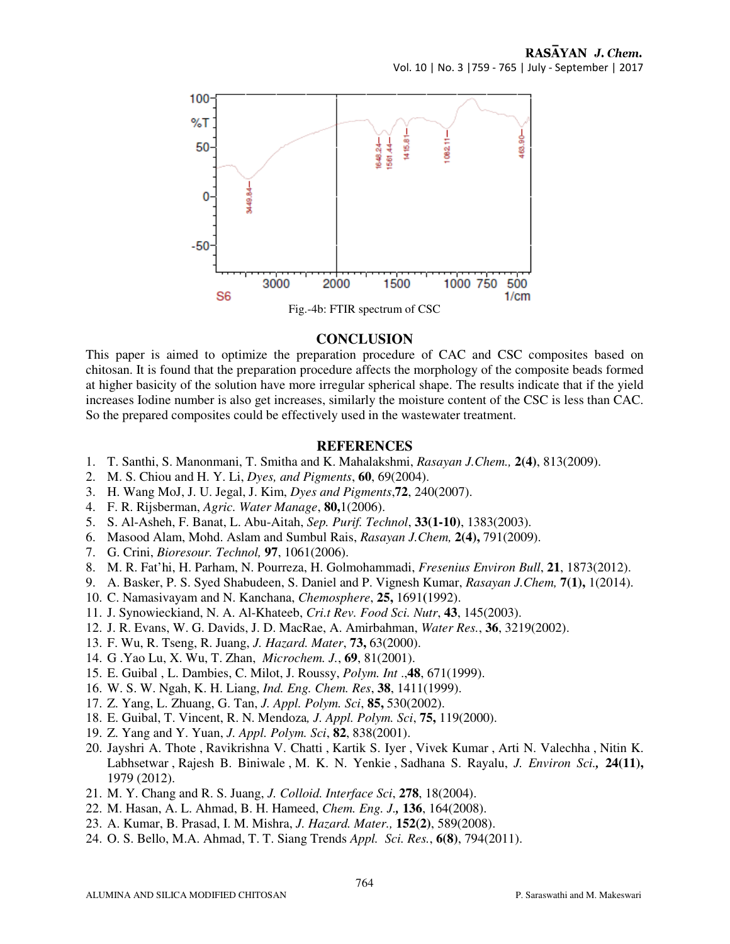

#### **CONCLUSION**

This paper is aimed to optimize the preparation procedure of CAC and CSC composites based on chitosan. It is found that the preparation procedure affects the morphology of the composite beads formed at higher basicity of the solution have more irregular spherical shape. The results indicate that if the yield increases Iodine number is also get increases, similarly the moisture content of the CSC is less than CAC. So the prepared composites could be effectively used in the wastewater treatment.

# **REFERENCES**

- 1. T. Santhi, S. Manonmani, T. Smitha and K. Mahalakshmi, *Rasayan J.Chem.,* **2(4)**, 813(2009).
- 2. M. S. Chiou and H. Y. Li, *Dyes, and Pigments*, **60**, 69(2004).
- 3. H. Wang MoJ, J. U. Jegal, J. Kim, *Dyes and Pigments*,**72**, 240(2007).
- 4. F. R. Rijsberman, *Agric. Water Manage*, **80,**1(2006).
- 5. S. Al-Asheh, F. Banat, L. Abu-Aitah, *Sep. Purif. Technol*, **33(1-10)**, 1383(2003).
- 6. Masood Alam, Mohd. Aslam and Sumbul Rais, *Rasayan J.Chem,* **2(4),** 791(2009).
- 7. G. Crini, *Bioresour. Technol,* **97**, 1061(2006).
- 8. M. R. Fat'hi, H. Parham, N. Pourreza, H. Golmohammadi, *Fresenius Environ Bull*, **21**, 1873(2012).
- 9. A. Basker, P. S. Syed Shabudeen, S. Daniel and P. Vignesh Kumar, *Rasayan J.Chem,* **7(1),** 1(2014).
- 10. C. Namasivayam and N. Kanchana, *Chemosphere*, **25,** 1691**(**1992).
- 11. J. Synowieckiand, N. A. Al-Khateeb, *Cri.t Rev. Food Sci. Nutr*, **43**, 145(2003).
- 12. J. R. Evans, W. G. Davids, J. D. MacRae, A. Amirbahman, *Water Res.*, **36**, 3219(2002).
- 13. F. Wu, R. Tseng, R. Juang, *J. Hazard. Mater*, **73,** 63(2000).
- 14. G .Yao Lu, X. Wu, T. Zhan, *Microchem. J.*, **69**, 81(2001).
- 15. E. Guibal , L. Dambies, C. Milot, J. Roussy, *Polym. Int* .,**48**, 671(1999).
- 16. W. S. W. Ngah, K. H. Liang, *Ind. Eng. Chem. Res*, **38**, 1411(1999).
- 17. Z. Yang, L. Zhuang, G. Tan, *J. Appl. Polym. Sci*, **85,** 530(2002).
- 18. E. Guibal, T. Vincent, R. N. Mendoza*, J. Appl. Polym. Sci*, **75,** 119(2000).
- 19. Z. Yang and Y. Yuan, *J. Appl. Polym. Sci*, **82**, 838(2001).
- 20. Jayshri A. Thote , Ravikrishna V. Chatti , Kartik S. Iyer , Vivek Kumar , Arti N. Valechha , Nitin K. Labhsetwar , Rajesh B. Biniwale , M. K. N. Yenkie , Sadhana S. Rayalu, *J. Environ Sci.,* **24(11),** 1979 (2012).
- 21. M. Y. Chang and R. S. Juang, *J. Colloid. Interface Sci*, **278**, 18(2004).
- 22. M. Hasan, A. L. Ahmad, B. H. Hameed, *Chem. Eng. J.,* **136**, 164(2008).
- 23. A. Kumar, B. Prasad, I. M. Mishra, *J. Hazard. Mater.,* **152(2)**, 589(2008).
- 24. O. S. Bello, M.A. Ahmad, T. T. Siang Trends *Appl. Sci. Res.*, **6(8)**, 794(2011).